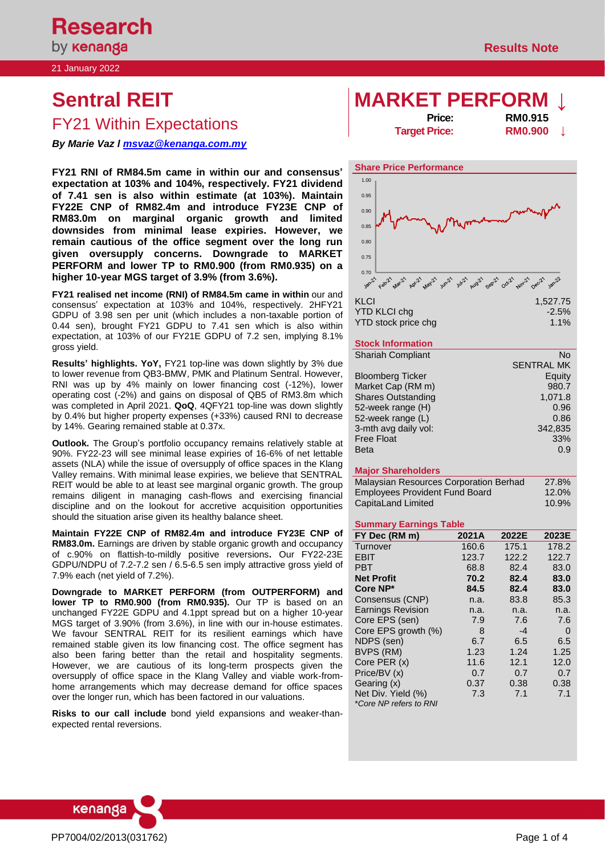21 January 2022

# FY21 Within Expectations

*By Marie Vaz l [msvaz@kenanga.com.my](mailto:msvaz@kenanga.com.my)*

**FY21 RNI of RM84.5m came in within our and consensus' expectation at 103% and 104%, respectively. FY21 dividend of 7.41 sen is also within estimate (at 103%). Maintain FY22E CNP of RM82.4m and introduce FY23E CNP of RM83.0m on marginal organic growth and limited downsides from minimal lease expiries. However, we remain cautious of the office segment over the long run given oversupply concerns. Downgrade to MARKET PERFORM and lower TP to RM0.900 (from RM0.935) on a higher 10-year MGS target of 3.9% (from 3.6%).** 

**FY21 realised net income (RNI) of RM84.5m came in within** our and consensus' expectation at 103% and 104%, respectively. 2HFY21 GDPU of 3.98 sen per unit (which includes a non-taxable portion of 0.44 sen), brought FY21 GDPU to 7.41 sen which is also within expectation, at 103% of our FY21E GDPU of 7.2 sen, implying 8.1% gross yield.

**Results' highlights. YoY,** FY21 top-line was down slightly by 3% due to lower revenue from QB3-BMW, PMK and Platinum Sentral. However, RNI was up by 4% mainly on lower financing cost (-12%), lower operating cost (-2%) and gains on disposal of QB5 of RM3.8m which was completed in April 2021. **QoQ**, 4QFY21 top-line was down slightly by 0.4% but higher property expenses (+33%) caused RNI to decrease by 14%. Gearing remained stable at 0.37x.

**Outlook.** The Group's portfolio occupancy remains relatively stable at 90%. FY22-23 will see minimal lease expiries of 16-6% of net lettable assets (NLA) while the issue of oversupply of office spaces in the Klang Valley remains. With minimal lease expiries, we believe that SENTRAL REIT would be able to at least see marginal organic growth. The group remains diligent in managing cash-flows and exercising financial discipline and on the lookout for accretive acquisition opportunities should the situation arise given its healthy balance sheet.

**Maintain FY22E CNP of RM82.4m and introduce FY23E CNP of RM83.0m.** Earnings are driven by stable organic growth and occupancy of c.90% on flattish-to-mildly positive reversions**.** Our FY22-23E GDPU/NDPU of 7.2-7.2 sen / 6.5-6.5 sen imply attractive gross yield of 7.9% each (net yield of 7.2%).

**Downgrade to MARKET PERFORM (from OUTPERFORM) and lower TP to RM0.900 (from RM0.935).** Our TP is based on an unchanged FY22E GDPU and 4.1ppt spread but on a higher 10-year MGS target of 3.90% (from 3.6%), in line with our in-house estimates. We favour SENTRAL REIT for its resilient earnings which have remained stable given its low financing cost. The office segment has also been faring better than the retail and hospitality segments. However, we are cautious of its long-term prospects given the oversupply of office space in the Klang Valley and viable work-fromhome arrangements which may decrease demand for office spaces over the longer run, which has been factored in our valuations.

**Risks to our call include** bond yield expansions and weaker-thanexpected rental reversions.

# **Sentral REIT MARKET PERFORM ↓**

**Target Price: RM0.900** 

**Price: RM0.915**



| YTD KLCI chq        | $-2.5%$ |
|---------------------|---------|
| YTD stock price chg | 1.1%    |

### **Stock Information**

| <b>Shariah Compliant</b>  | No                |
|---------------------------|-------------------|
|                           | <b>SENTRAL MK</b> |
| <b>Bloomberg Ticker</b>   | Equity            |
| Market Cap (RM m)         | 980.7             |
| <b>Shares Outstanding</b> | 1,071.8           |
| 52-week range (H)         | 0.96              |
| 52-week range (L)         | 0.86              |
| 3-mth avg daily vol:      | 342.835           |
| <b>Free Float</b>         | 33%               |
| <b>Beta</b>               | 0.9               |

### **Major Shareholders**

| Malaysian Resources Corporation Berhad | 27.8% |
|----------------------------------------|-------|
| <b>Employees Provident Fund Board</b>  | 12.0% |
| CapitaLand Limited                     | 10.9% |

### **Summary Earnings Table**

| FY Dec (RM m)                                | 2021A | 2022E | 2023E |
|----------------------------------------------|-------|-------|-------|
| Turnover                                     | 160.6 | 175.1 | 178.2 |
| <b>EBIT</b>                                  | 123.7 | 122.2 | 122.7 |
| PBT                                          | 68.8  | 82.4  | 83.0  |
| <b>Net Profit</b>                            | 70.2  | 82.4  | 83.0  |
| Core NP*                                     | 84.5  | 82.4  | 83.0  |
| Consensus (CNP)                              | n.a.  | 83.8  | 85.3  |
| <b>Earnings Revision</b>                     | n.a.  | n.a.  | n.a.  |
| Core EPS (sen)                               | 7.9   | 7.6   | 7.6   |
| Core EPS growth (%)                          | 8     | $-4$  | 0     |
| NDPS (sen)                                   | 6.7   | 6.5   | 6.5   |
| BVPS (RM)                                    | 1.23  | 1.24  | 1.25  |
| Core PER $(x)$                               | 11.6  | 12.1  | 12.0  |
| Price/BV (x)                                 | 0.7   | 0.7   | 0.7   |
| Gearing (x)                                  | 0.37  | 0.38  | 0.38  |
| Net Div. Yield (%)<br>*Core NP refers to RNI | 7.3   | 7.1   | 7.1   |

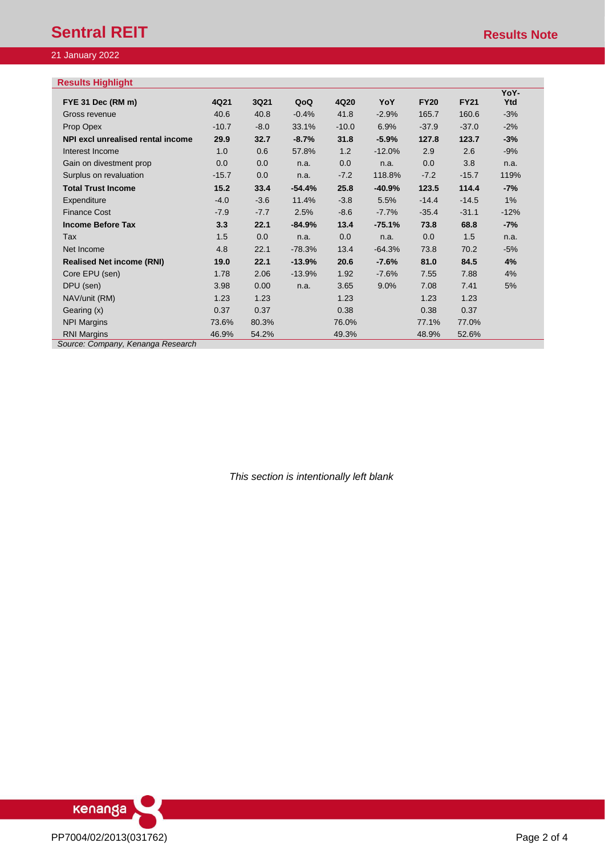### 21 January 2022

# **Results Highlight**

| 4Q21    | 3Q21   | QoQ      | 4Q20    | YoY      | <b>FY20</b> | <b>FY21</b> | YoY-<br>Ytd |
|---------|--------|----------|---------|----------|-------------|-------------|-------------|
| 40.6    | 40.8   | $-0.4%$  | 41.8    | $-2.9%$  | 165.7       | 160.6       | $-3%$       |
| $-10.7$ | $-8.0$ | 33.1%    | $-10.0$ | 6.9%     | $-37.9$     | $-37.0$     | $-2%$       |
| 29.9    | 32.7   | $-8.7%$  | 31.8    | $-5.9%$  | 127.8       | 123.7       | $-3%$       |
| 1.0     | 0.6    | 57.8%    | 1.2     | $-12.0%$ | 2.9         | 2.6         | $-9%$       |
| 0.0     | 0.0    | n.a.     | 0.0     | n.a.     | 0.0         | 3.8         | n.a.        |
| $-15.7$ | 0.0    | n.a.     | $-7.2$  | 118.8%   | $-7.2$      | $-15.7$     | 119%        |
| 15.2    | 33.4   | $-54.4%$ | 25.8    | $-40.9%$ | 123.5       | 114.4       | $-7%$       |
| $-4.0$  | $-3.6$ | 11.4%    | $-3.8$  | 5.5%     | $-14.4$     | $-14.5$     | 1%          |
| $-7.9$  | $-7.7$ | 2.5%     | $-8.6$  | $-7.7%$  | $-35.4$     | $-31.1$     | $-12%$      |
| 3.3     | 22.1   | $-84.9%$ | 13.4    | $-75.1%$ | 73.8        | 68.8        | -7%         |
| 1.5     | 0.0    | n.a.     | 0.0     | n.a.     | 0.0         | 1.5         | n.a.        |
| 4.8     | 22.1   | $-78.3%$ | 13.4    | $-64.3%$ | 73.8        | 70.2        | $-5%$       |
| 19.0    | 22.1   | $-13.9%$ | 20.6    | $-7.6%$  | 81.0        | 84.5        | 4%          |
| 1.78    | 2.06   | $-13.9%$ | 1.92    | $-7.6%$  | 7.55        | 7.88        | 4%          |
| 3.98    | 0.00   | n.a.     | 3.65    | $9.0\%$  | 7.08        | 7.41        | 5%          |
| 1.23    | 1.23   |          | 1.23    |          | 1.23        | 1.23        |             |
| 0.37    | 0.37   |          | 0.38    |          | 0.38        | 0.37        |             |
| 73.6%   | 80.3%  |          | 76.0%   |          | 77.1%       | 77.0%       |             |
| 46.9%   | 54.2%  |          | 49.3%   |          | 48.9%       | 52.6%       |             |
|         |        |          |         |          |             |             |             |

*Source: Company, Kenanga Research*

*This section is intentionally left blank*

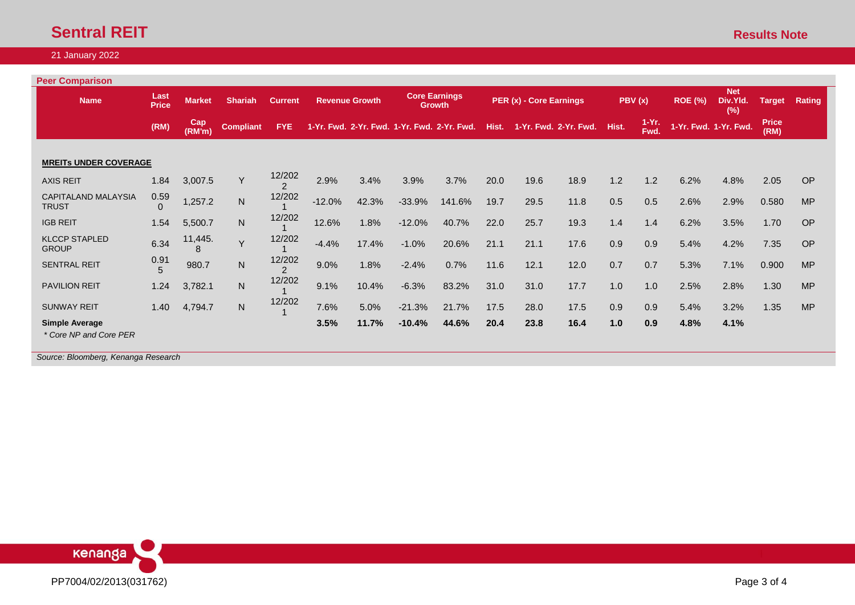# **Sentral REIT** Results Note

## 21 January 2022

| <b>Peer Comparison</b>                          |                      |               |                  |                         |          |                       |          |                                             |       |                         |                       |       |                 |                | <b>Net</b>            |                      |               |
|-------------------------------------------------|----------------------|---------------|------------------|-------------------------|----------|-----------------------|----------|---------------------------------------------|-------|-------------------------|-----------------------|-------|-----------------|----------------|-----------------------|----------------------|---------------|
| <b>Name</b>                                     | Last<br><b>Price</b> | <b>Market</b> | <b>Shariah</b>   | <b>Current</b>          |          | <b>Revenue Growth</b> |          | <b>Core Earnings</b><br><b>Growth</b>       |       | PER (x) - Core Earnings |                       |       | PBV(x)          | <b>ROE (%)</b> | Div.Yld.<br>(%)       | <b>Target</b>        | <b>Rating</b> |
|                                                 | (RM)                 | Cap<br>(RM'm) | <b>Compliant</b> | <b>FYE</b>              |          |                       |          | 1-Yr. Fwd. 2-Yr. Fwd. 1-Yr. Fwd. 2-Yr. Fwd. | Hist. |                         | 1-Yr. Fwd. 2-Yr. Fwd. | Hist. | $1-Yr.$<br>Fwd. |                | 1-Yr. Fwd. 1-Yr. Fwd. | <b>Price</b><br>(RM) |               |
| <b>MREITS UNDER COVERAGE</b>                    |                      |               |                  |                         |          |                       |          |                                             |       |                         |                       |       |                 |                |                       |                      |               |
| <b>AXIS REIT</b>                                | 1.84                 | 3,007.5       | Y                | 12/202<br>$\mathcal{P}$ | 2.9%     | 3.4%                  | 3.9%     | 3.7%                                        | 20.0  | 19.6                    | 18.9                  | 1.2   | 1.2             | 6.2%           | 4.8%                  | 2.05                 | <b>OP</b>     |
| <b>CAPITALAND MALAYSIA</b><br><b>TRUST</b>      | 0.59                 | 1,257.2       | ${\sf N}$        | 12/202                  | $-12.0%$ | 42.3%                 | $-33.9%$ | 141.6%                                      | 19.7  | 29.5                    | 11.8                  | 0.5   | 0.5             | 2.6%           | 2.9%                  | 0.580                | <b>MP</b>     |
| <b>IGB REIT</b>                                 | 1.54                 | 5,500.7       | N                | 12/202                  | 12.6%    | 1.8%                  | $-12.0%$ | 40.7%                                       | 22.0  | 25.7                    | 19.3                  | 1.4   | 1.4             | 6.2%           | 3.5%                  | 1.70                 | <b>OP</b>     |
| <b>KLCCP STAPLED</b><br><b>GROUP</b>            | 6.34                 | 11,445.<br>8  | Y                | 12/202                  | $-4.4%$  | 17.4%                 | $-1.0%$  | 20.6%                                       | 21.1  | 21.1                    | 17.6                  | 0.9   | 0.9             | 5.4%           | 4.2%                  | 7.35                 | <b>OP</b>     |
| SENTRAL REIT                                    | 0.91                 | 980.7         | $\mathsf{N}$     | 12/202<br>$\mathcal{P}$ | 9.0%     | 1.8%                  | $-2.4%$  | 0.7%                                        | 11.6  | 12.1                    | 12.0                  | 0.7   | 0.7             | 5.3%           | 7.1%                  | 0.900                | <b>MP</b>     |
| <b>PAVILION REIT</b>                            | 1.24                 | 3,782.1       | $\mathsf{N}$     | 12/202                  | 9.1%     | 10.4%                 | $-6.3%$  | 83.2%                                       | 31.0  | 31.0                    | 17.7                  | 1.0   | 1.0             | 2.5%           | 2.8%                  | 1.30                 | <b>MP</b>     |
| <b>SUNWAY REIT</b>                              | 1.40                 | 4,794.7       | N                | 12/202                  | 7.6%     | 5.0%                  | $-21.3%$ | 21.7%                                       | 17.5  | 28.0                    | 17.5                  | 0.9   | 0.9             | 5.4%           | 3.2%                  | 1.35                 | <b>MP</b>     |
| <b>Simple Average</b><br>* Core NP and Core PER |                      |               |                  |                         | 3.5%     | 11.7%                 | $-10.4%$ | 44.6%                                       | 20.4  | 23.8                    | 16.4                  | 1.0   | 0.9             | 4.8%           | 4.1%                  |                      |               |
| Source: Bloomberg, Kenanga Research             |                      |               |                  |                         |          |                       |          |                                             |       |                         |                       |       |                 |                |                       |                      |               |